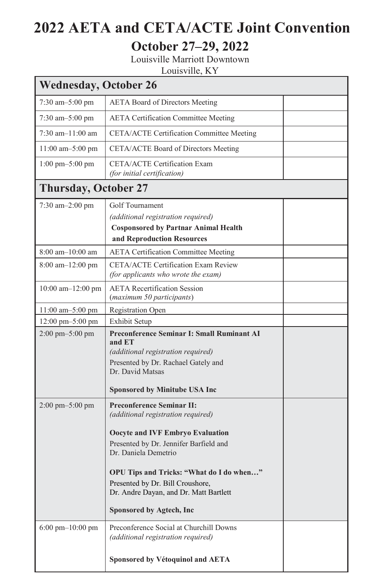## **2022 AETA and CETA/ACTE Joint Convention**

## **October 27–29, 2022**

Louisville Marriott Downtown

Louisville, KY

| <b>Wednesday, October 26</b>                                                |                                                                                                                                                                                                                                                                                                                                                                                             |  |  |  |
|-----------------------------------------------------------------------------|---------------------------------------------------------------------------------------------------------------------------------------------------------------------------------------------------------------------------------------------------------------------------------------------------------------------------------------------------------------------------------------------|--|--|--|
| $7:30$ am $-5:00$ pm                                                        | <b>AETA Board of Directors Meeting</b>                                                                                                                                                                                                                                                                                                                                                      |  |  |  |
| $7:30$ am $-5:00$ pm                                                        | <b>AETA Certification Committee Meeting</b>                                                                                                                                                                                                                                                                                                                                                 |  |  |  |
| $7:30$ am $-11:00$ am                                                       | CETA/ACTE Certification Committee Meeting                                                                                                                                                                                                                                                                                                                                                   |  |  |  |
| $11:00$ am $-5:00$ pm                                                       | CETA/ACTE Board of Directors Meeting                                                                                                                                                                                                                                                                                                                                                        |  |  |  |
| $1:00 \text{ pm}-5:00 \text{ pm}$                                           | CETA/ACTE Certification Exam<br>(for initial certification)                                                                                                                                                                                                                                                                                                                                 |  |  |  |
| <b>Thursday, October 27</b>                                                 |                                                                                                                                                                                                                                                                                                                                                                                             |  |  |  |
| $7:30$ am $-2:00$ pm                                                        | Golf Tournament<br>(additional registration required)<br><b>Cosponsored by Partnar Animal Health</b><br>and Reproduction Resources                                                                                                                                                                                                                                                          |  |  |  |
| $8:00$ am $-10:00$ am                                                       | <b>AETA Certification Committee Meeting</b>                                                                                                                                                                                                                                                                                                                                                 |  |  |  |
| $8:00$ am $-12:00$ pm                                                       | CETA/ACTE Certification Exam Review<br>(for applicants who wrote the exam)                                                                                                                                                                                                                                                                                                                  |  |  |  |
| $10:00$ am $-12:00$ pm                                                      | <b>AETA Recertification Session</b><br>(maximum 50 participants)                                                                                                                                                                                                                                                                                                                            |  |  |  |
| $11:00$ am $-5:00$ pm                                                       | Registration Open                                                                                                                                                                                                                                                                                                                                                                           |  |  |  |
| $12:00 \text{ pm} - 5:00 \text{ pm}$                                        | Exhibit Setup                                                                                                                                                                                                                                                                                                                                                                               |  |  |  |
| $2:00 \text{ pm} - 5:00 \text{ pm}$                                         | <b>Preconference Seminar I: Small Ruminant AI</b><br>and ET<br>(additional registration required)<br>Presented by Dr. Rachael Gately and<br>Dr. David Matsas<br><b>Sponsored by Minitube USA Inc</b>                                                                                                                                                                                        |  |  |  |
| $2:00 \text{ pm} - 5:00 \text{ pm}$<br>$6:00 \text{ pm} - 10:00 \text{ pm}$ | <b>Preconference Seminar II:</b><br>(additional registration required)<br><b>Oocyte and IVF Embryo Evaluation</b><br>Presented by Dr. Jennifer Barfield and<br>Dr. Daniela Demetrio<br>OPU Tips and Tricks: "What do I do when"<br>Presented by Dr. Bill Croushore,<br>Dr. Andre Dayan, and Dr. Matt Bartlett<br><b>Sponsored by Agtech, Inc</b><br>Preconference Social at Churchill Downs |  |  |  |
|                                                                             | (additional registration required)<br><b>Sponsored by Vétoquinol and AETA</b>                                                                                                                                                                                                                                                                                                               |  |  |  |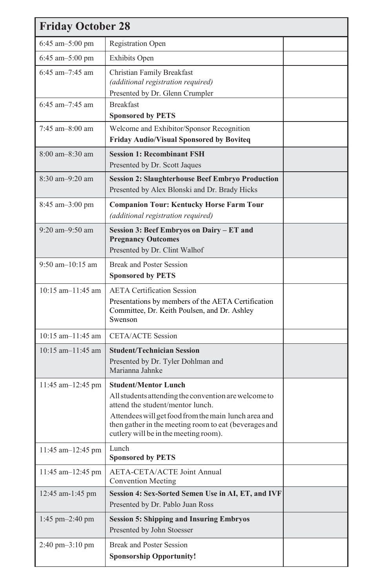| <b>Friday October 28</b>          |                                                                                                                                                                                                                                                                                   |  |  |  |
|-----------------------------------|-----------------------------------------------------------------------------------------------------------------------------------------------------------------------------------------------------------------------------------------------------------------------------------|--|--|--|
| $6:45$ am $-5:00$ pm              | Registration Open                                                                                                                                                                                                                                                                 |  |  |  |
| $6:45$ am $-5:00$ pm              | Exhibits Open                                                                                                                                                                                                                                                                     |  |  |  |
| $6:45$ am $-7:45$ am              | Christian Family Breakfast<br>(additional registration required)<br>Presented by Dr. Glenn Crumpler                                                                                                                                                                               |  |  |  |
| $6:45$ am $-7:45$ am              | <b>Breakfast</b><br><b>Sponsored by PETS</b>                                                                                                                                                                                                                                      |  |  |  |
| $7:45$ am $-8:00$ am              | Welcome and Exhibitor/Sponsor Recognition<br><b>Friday Audio/Visual Sponsored by Boviteq</b>                                                                                                                                                                                      |  |  |  |
| $8:00$ am $-8:30$ am              | <b>Session 1: Recombinant FSH</b><br>Presented by Dr. Scott Jaques                                                                                                                                                                                                                |  |  |  |
| $8:30$ am $-9:20$ am              | <b>Session 2: Slaughterhouse Beef Embryo Production</b><br>Presented by Alex Blonski and Dr. Brady Hicks                                                                                                                                                                          |  |  |  |
| $8:45$ am $-3:00$ pm              | <b>Companion Tour: Kentucky Horse Farm Tour</b><br><i>(additional registration required)</i>                                                                                                                                                                                      |  |  |  |
| $9:20$ am $-9:50$ am              | Session 3: Beef Embryos on Dairy – ET and<br><b>Pregnancy Outcomes</b><br>Presented by Dr. Clint Walhof                                                                                                                                                                           |  |  |  |
| $9:50$ am $-10:15$ am             | <b>Break and Poster Session</b><br><b>Sponsored by PETS</b>                                                                                                                                                                                                                       |  |  |  |
| $10:15$ am $-11:45$ am            | <b>AETA Certification Session</b><br>Presentations by members of the AETA Certification<br>Committee, Dr. Keith Poulsen, and Dr. Ashley<br>Swenson                                                                                                                                |  |  |  |
| $10:15$ am $-11:45$ am            | <b>CETA/ACTE Session</b>                                                                                                                                                                                                                                                          |  |  |  |
| $10:15$ am-11:45 am               | <b>Student/Technician Session</b><br>Presented by Dr. Tyler Dohlman and<br>Marianna Jahnke                                                                                                                                                                                        |  |  |  |
| 11:45 am-12:45 pm                 | <b>Student/Mentor Lunch</b><br>All students attending the convention are welcome to<br>attend the student/mentor lunch.<br>Attendees will get food from the main lunch area and<br>then gather in the meeting room to eat (beverages and<br>cutlery will be in the meeting room). |  |  |  |
| 11:45 am-12:45 pm                 | Lunch<br><b>Sponsored by PETS</b>                                                                                                                                                                                                                                                 |  |  |  |
| 11:45 am-12:45 pm                 | <b>AETA-CETA/ACTE Joint Annual</b><br>Convention Meeting                                                                                                                                                                                                                          |  |  |  |
| 12:45 am-1:45 pm                  | Session 4: Sex-Sorted Semen Use in AI, ET, and IVF<br>Presented by Dr. Pablo Juan Ross                                                                                                                                                                                            |  |  |  |
| 1:45 pm $-2:40$ pm                | <b>Session 5: Shipping and Insuring Embryos</b><br>Presented by John Stoesser                                                                                                                                                                                                     |  |  |  |
| $2:40 \text{ pm}-3:10 \text{ pm}$ | <b>Break and Poster Session</b><br><b>Sponsorship Opportunity!</b>                                                                                                                                                                                                                |  |  |  |